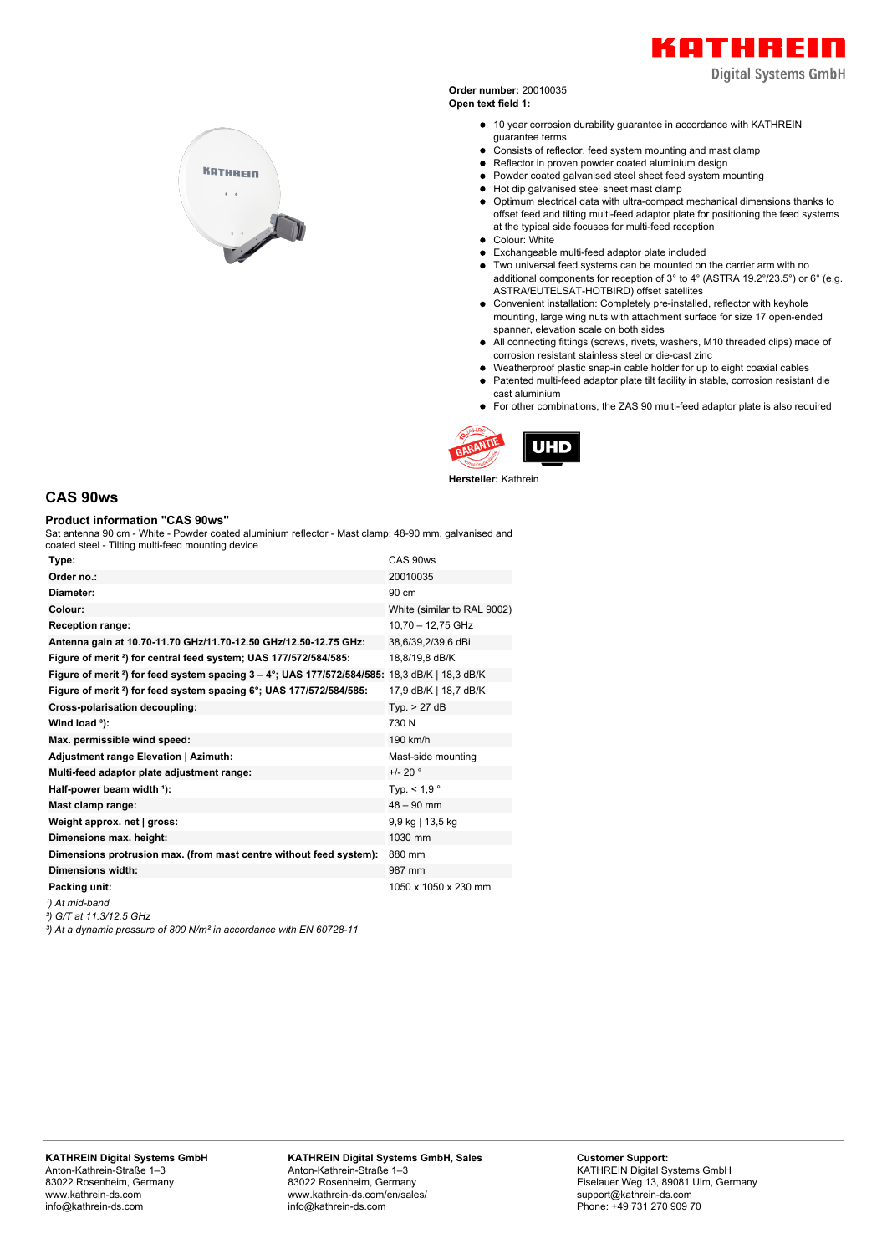

**Digital Systems GmbH** 

**Order number:** 20010035 **Open text field 1:**

- 10 year corrosion durability guarantee in accordance with KATHREIN guarantee terms
- Consists of reflector, feed system mounting and mast clamp
- Reflector in proven powder coated aluminium design
- Powder coated galvanised steel sheet feed system mounting
- $\bullet$  Hot dip galvanised steel sheet mast clamp
- Optimum electrical data with ultra-compact mechanical dimensions thanks to offset feed and tilting multi-feed adaptor plate for positioning the feed systems at the typical side focuses for multi-feed reception • Colour: White
- 
- Exchangeable multi-feed adaptor plate included
- Two universal feed systems can be mounted on the carrier arm with no additional components for reception of 3° to 4° (ASTRA 19.2°/23.5°) or 6° (e.g. ASTRA/EUTELSAT-HOTBIRD) offset satellites
- Convenient installation: Completely pre-installed, reflector with keyhole mounting, large wing nuts with attachment surface for size 17 open-ended spanner, elevation scale on both sides
- All connecting fittings (screws, rivets, washers, M10 threaded clips) made of corrosion resistant stainless steel or die-cast zinc
- Weatherproof plastic snap-in cable holder for up to eight coaxial cables
- Patented multi-feed adaptor plate tilt facility in stable, corrosion resistant die  $\bullet$ cast aluminium
- For other combinations, the ZAS 90 multi-feed adaptor plate is also required



**Hersteller:** Kathrein

## **CAS 90ws**

## **Product information "CAS 90ws"**

Sat antenna 90 cm - White - Powder coated aluminium reflector - Mast clamp: 48-90 mm, galvanised and

| coated steel - Tilting multi-feed mounting device                                                                 |                             |
|-------------------------------------------------------------------------------------------------------------------|-----------------------------|
| Type:                                                                                                             | CAS 90ws                    |
| Order no.:                                                                                                        | 20010035                    |
| Diameter:                                                                                                         | 90 cm                       |
| Colour:                                                                                                           | White (similar to RAL 9002) |
| <b>Reception range:</b>                                                                                           | 10,70 - 12,75 GHz           |
| Antenna gain at 10.70-11.70 GHz/11.70-12.50 GHz/12.50-12.75 GHz:                                                  | 38,6/39,2/39,6 dBi          |
| Figure of merit <sup>2</sup> ) for central feed system; UAS 177/572/584/585:                                      | 18,8/19,8 dB/K              |
| Figure of merit <sup>2</sup> ) for feed system spacing $3 - 4^\circ$ ; UAS 177/572/584/585: 18,3 dB/K   18,3 dB/K |                             |
| Figure of merit <sup>2</sup> ) for feed system spacing 6°; UAS 177/572/584/585:                                   | 17,9 dB/K   18,7 dB/K       |
| Cross-polarisation decoupling:                                                                                    | Tvp. > 27 dB                |
| Wind load $3$ ):                                                                                                  | 730 N                       |
| Max. permissible wind speed:                                                                                      | 190 km/h                    |
| Adjustment range Elevation   Azimuth:                                                                             | Mast-side mounting          |
| Multi-feed adaptor plate adjustment range:                                                                        | $+/- 20$ $^{\circ}$         |
| Half-power beam width 1):                                                                                         | Typ. $< 1.9$ °              |
| Mast clamp range:                                                                                                 | $48 - 90$ mm                |
| Weight approx. net   gross:                                                                                       | 9,9 kg   13,5 kg            |
| Dimensions max. height:                                                                                           | 1030 mm                     |
| Dimensions protrusion max. (from mast centre without feed system):                                                | 880 mm                      |
| <b>Dimensions width:</b>                                                                                          | 987 mm                      |
| Packing unit:                                                                                                     | 1050 x 1050 x 230 mm        |
| 1) At mid-band                                                                                                    |                             |
|                                                                                                                   |                             |

*²) G/T at 11.3/12.5 GHz*

*³) At a dynamic pressure of 800 N/m² in accordance with EN 60728-11*